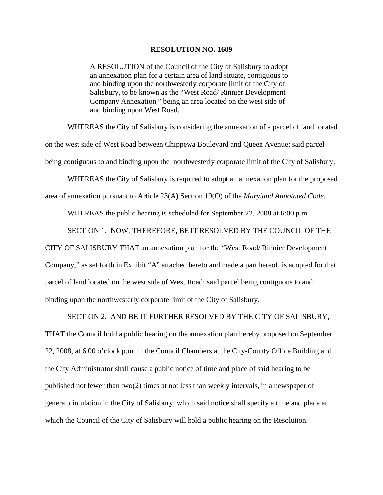## **RESOLUTION NO. 1689**

A RESOLUTION of the Council of the City of Salisbury to adopt an annexation plan for a certain area of land situate, contiguous to and binding upon the northwesterly corporate limit of the City of Salisbury, to be known as the "West Road/ Rinnier Development Company Annexation," being an area located on the west side of and binding upon West Road.

WHEREAS the City of Salisbury is considering the annexation of a parcel of land located

on the west side of West Road between Chippewa Boulevard and Queen Avenue; said parcel

being contiguous to and binding upon the northwesterly corporate limit of the City of Salisbury;

WHEREAS the City of Salisbury is required to adopt an annexation plan for the proposed

area of annexation pursuant to Article 23(A) Section 19(O) of the *Maryland Annotated Code.*

WHEREAS the public hearing is scheduled for September 22, 2008 at 6:00 p.m.

SECTION 1. NOW, THEREFORE, BE IT RESOLVED BY THE COUNCIL OF THE

CITY OF SALISBURY THAT an annexation plan for the "West Road/ Rinnier Development

Company," as set forth in Exhibit "A" attached hereto and made a part hereof, is adopted for that parcel of land located on the west side of West Road; said parcel being contiguous to and binding upon the northwesterly corporate limit of the City of Salisbury.

SECTION 2. AND BE IT FURTHER RESOLVED BY THE CITY OF SALISBURY,

THAT the Council hold a public hearing on the annexation plan hereby proposed on September 22, 2008, at 6:00 o'clock p.m. in the Council Chambers at the City-County Office Building and the City Administrator shall cause a public notice of time and place of said hearing to be published not fewer than two(2) times at not less than weekly intervals, in a newspaper of general circulation in the City of Salisbury, which said notice shall specify a time and place at which the Council of the City of Salisbury will hold a public hearing on the Resolution.